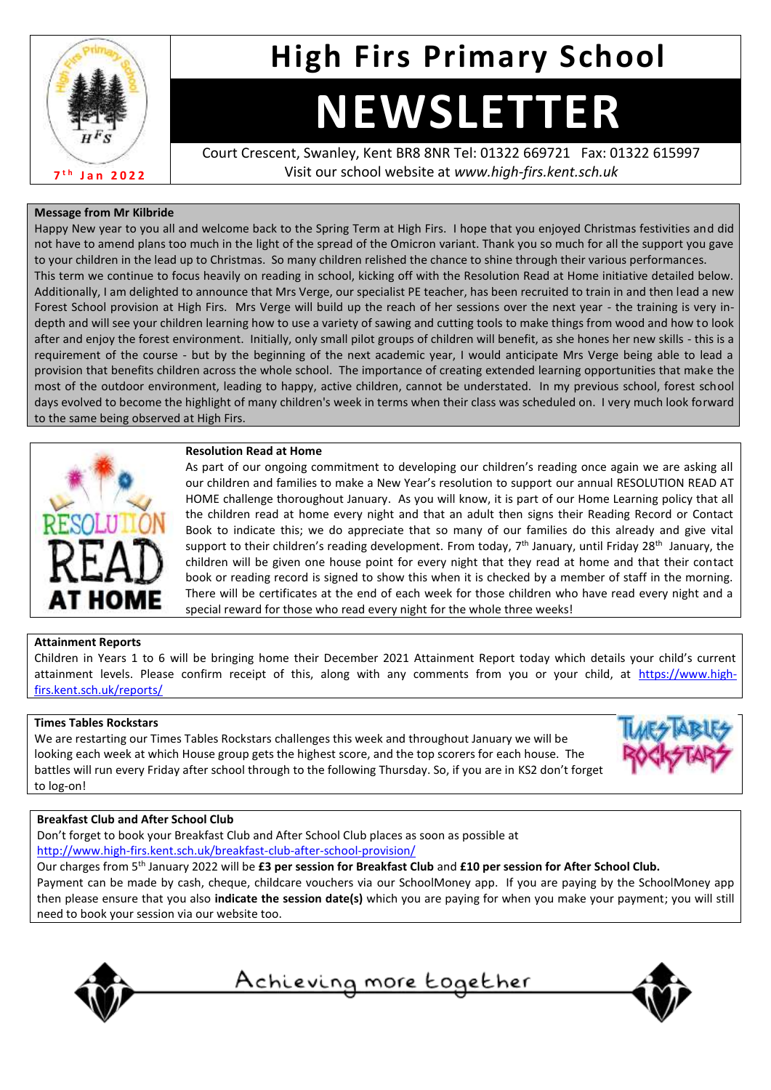

# **High Firs Primary School**

# **NEWSLETTER**

Court Crescent, Swanley, Kent BR8 8NR Tel: 01322 669721 Fax: 01322 615997 Visit our school website at *www.high-firs.kent.sch.uk*

# **Message from Mr Kilbride**

Happy New year to you all and welcome back to the Spring Term at High Firs. I hope that you enjoyed Christmas festivities and did not have to amend plans too much in the light of the spread of the Omicron variant. Thank you so much for all the support you gave to your children in the lead up to Christmas. So many children relished the chance to shine through their various performances. This term we continue to focus heavily on reading in school, kicking off with the Resolution Read at Home initiative detailed below. Additionally, I am delighted to announce that Mrs Verge, our specialist PE teacher, has been recruited to train in and then lead a new Forest School provision at High Firs. Mrs Verge will build up the reach of her sessions over the next year - the training is very indepth and will see your children learning how to use a variety of sawing and cutting tools to make things from wood and how to look after and enjoy the forest environment. Initially, only small pilot groups of children will benefit, as she hones her new skills - this is a requirement of the course - but by the beginning of the next academic year, I would anticipate Mrs Verge being able to lead a provision that benefits children across the whole school. The importance of creating extended learning opportunities that make the most of the outdoor environment, leading to happy, active children, cannot be understated. In my previous school, forest school days evolved to become the highlight of many children's week in terms when their class was scheduled on. I very much look forward to the same being observed at High Firs.



# **Resolution Read at Home**

As part of our ongoing commitment to developing our children's reading once again we are asking all our children and families to make a New Year's resolution to support our annual RESOLUTION READ AT HOME challenge thoroughout January. As you will know, it is part of our Home Learning policy that all the children read at home every night and that an adult then signs their Reading Record or Contact Book to indicate this; we do appreciate that so many of our families do this already and give vital support to their children's reading development. From today, 7<sup>th</sup> January, until Friday 28<sup>th</sup> January, the children will be given one house point for every night that they read at home and that their contact book or reading record is signed to show this when it is checked by a member of staff in the morning. There will be certificates at the end of each week for those children who have read every night and a special reward for those who read every night for the whole three weeks!

# **Attainment Reports**

Children in Years 1 to 6 will be bringing home their December 2021 Attainment Report today which details your child's current attainment levels. Please confirm receipt of this, along with any comments from you or your child, at [https://www.high](https://www.high-firs.kent.sch.uk/reports/)[firs.kent.sch.uk/reports/](https://www.high-firs.kent.sch.uk/reports/)

# **Times Tables Rockstars**

We are restarting our Times Tables Rockstars challenges this week and throughout January we will be looking each week at which House group gets the highest score, and the top scorers for each house. The battles will run every Friday after school through to the following Thursday. So, if you are in KS2 don't forget to log-on!



# **Breakfast Club and After School Club**

Don't forget to book your Breakfast Club and After School Club places as soon as possible at <http://www.high-firs.kent.sch.uk/breakfast-club-after-school-provision/>

Our charges from 5th January 2022 will be **£3 per session for Breakfast Club** and **£10 per session for After School Club.**

Payment can be made by cash, cheque, childcare vouchers via our SchoolMoney app. If you are paying by the SchoolMoney app then please ensure that you also **indicate the session date(s)** which you are paying for when you make your payment; you will still need to book your session via our website too.



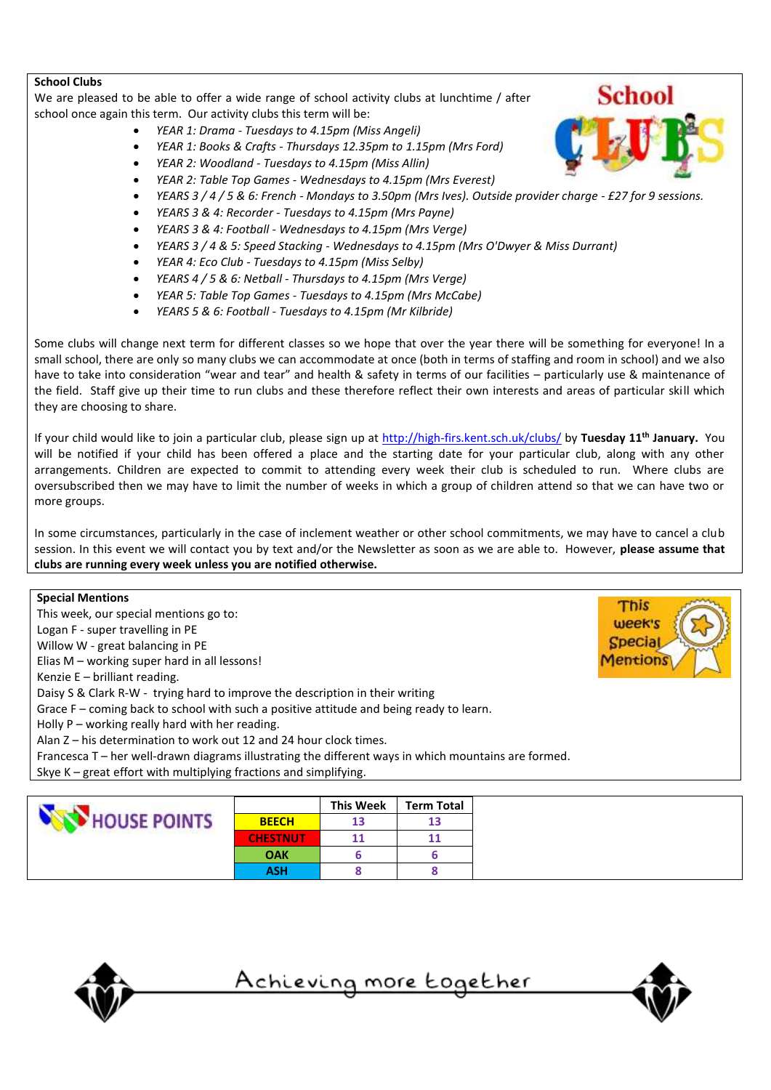# **School Clubs**

We are pleased to be able to offer a wide range of school activity clubs at lunchtime / after school once again this term. Our activity clubs this term will be:

- *YEAR 1: Drama - Tuesdays to 4.15pm (Miss Angeli)*
- *YEAR 1: Books & Crafts - Thursdays 12.35pm to 1.15pm (Mrs Ford)*
- *YEAR 2: Woodland - Tuesdays to 4.15pm (Miss Allin)*
- *YEAR 2: Table Top Games - Wednesdays to 4.15pm (Mrs Everest)*
- *YEARS 3 / 4 / 5 & 6: French - Mondays to 3.50pm (Mrs Ives). Outside provider charge - £27 for 9 sessions.*
- *YEARS 3 & 4: Recorder - Tuesdays to 4.15pm (Mrs Payne)*
- *YEARS 3 & 4: Football - Wednesdays to 4.15pm (Mrs Verge)*
- *YEARS 3 / 4 & 5: Speed Stacking - Wednesdays to 4.15pm (Mrs O'Dwyer & Miss Durrant)*
- *YEAR 4: Eco Club - Tuesdays to 4.15pm (Miss Selby)*
- *YEARS 4 / 5 & 6: Netball - Thursdays to 4.15pm (Mrs Verge)*
- *YEAR 5: Table Top Games - Tuesdays to 4.15pm (Mrs McCabe)*
- *YEARS 5 & 6: Football - Tuesdays to 4.15pm (Mr Kilbride)*

Some clubs will change next term for different classes so we hope that over the year there will be something for everyone! In a small school, there are only so many clubs we can accommodate at once (both in terms of staffing and room in school) and we also have to take into consideration "wear and tear" and health & safety in terms of our facilities – particularly use & maintenance of the field. Staff give up their time to run clubs and these therefore reflect their own interests and areas of particular skill which they are choosing to share.

If your child would like to join a particular club, please sign up at<http://high-firs.kent.sch.uk/clubs/> by **Tuesday 11th January.** You will be notified if your child has been offered a place and the starting date for your particular club, along with any other arrangements. Children are expected to commit to attending every week their club is scheduled to run. Where clubs are oversubscribed then we may have to limit the number of weeks in which a group of children attend so that we can have two or more groups.

In some circumstances, particularly in the case of inclement weather or other school commitments, we may have to cancel a club session. In this event we will contact you by text and/or the Newsletter as soon as we are able to. However, **please assume that clubs are running every week unless you are notified otherwise.**



|              |                 | <b>This Week</b> | <b>Term Total</b> |
|--------------|-----------------|------------------|-------------------|
| HOUSE POINTS | <b>BEECH</b>    | 13               | 13                |
|              | <b>CHESTNUT</b> | 11               | 11                |
|              | <b>OAK</b>      |                  |                   |
|              | ASH             |                  |                   |





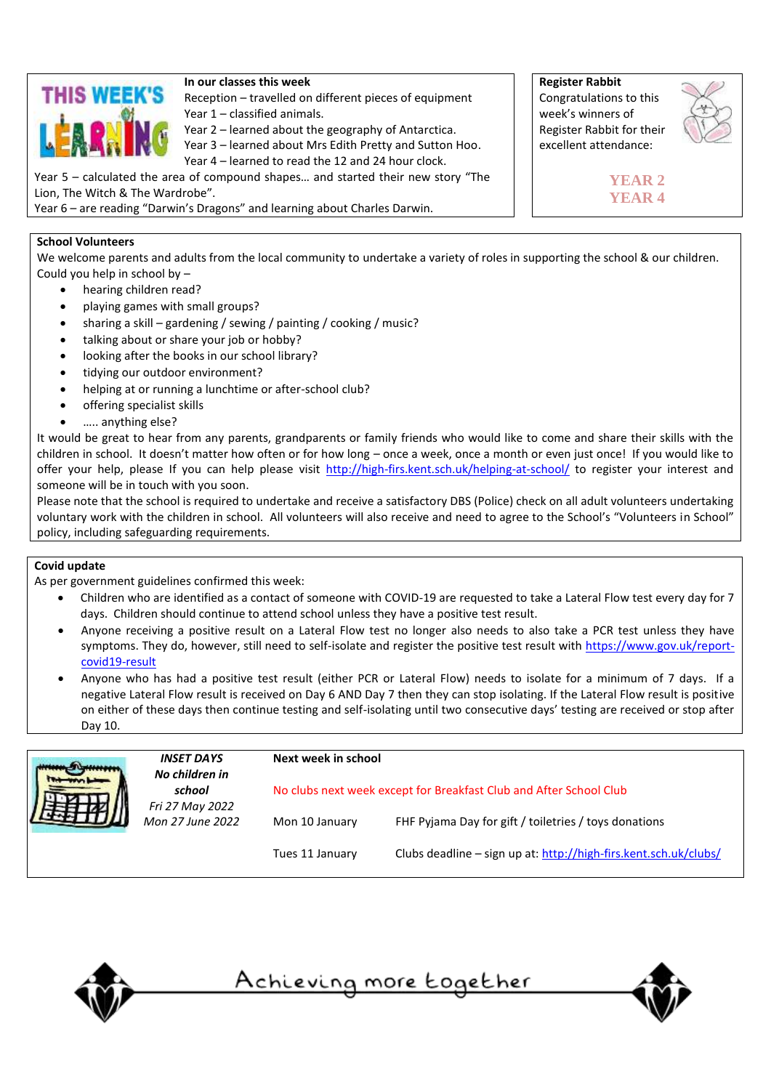

# **In our classes this week**

Reception – travelled on different pieces of equipment Year 1 – classified animals.

Year 2 – learned about the geography of Antarctica. Year 3 – learned about Mrs Edith Pretty and Sutton Hoo.

Year 4 – learned to read the 12 and 24 hour clock.

Year 5 – calculated the area of compound shapes… and started their new story "The Lion, The Witch & The Wardrobe".

Year 6 – are reading "Darwin's Dragons" and learning about Charles Darwin.

# **School Volunteers**

We welcome parents and adults from the local community to undertake a variety of roles in supporting the school & our children. Could you help in school by –

- hearing children read?
- playing games with small groups?
- sharing a skill gardening / sewing / painting / cooking / music?
- talking about or share your job or hobby?
- looking after the books in our school library?
- tidying our outdoor environment?
- helping at or running a lunchtime or after-school club?
- offering specialist skills
- ….. anything else?

It would be great to hear from any parents, grandparents or family friends who would like to come and share their skills with the children in school. It doesn't matter how often or for how long – once a week, once a month or even just once! If you would like to offer your help, please If you can help please visit <http://high-firs.kent.sch.uk/helping-at-school/> to register your interest and someone will be in touch with you soon.

Please note that the school is required to undertake and receive a satisfactory DBS (Police) check on all adult volunteers undertaking voluntary work with the children in school. All volunteers will also receive and need to agree to the School's "Volunteers in School" policy, including safeguarding requirements.

# **Covid update**

As per government guidelines confirmed this week:

- Children who are identified as a contact of someone with COVID-19 are requested to take a Lateral Flow test every day for 7 days. Children should continue to attend school unless they have a positive test result.
- Anyone receiving a positive result on a Lateral Flow test no longer also needs to also take a PCR test unless they have symptoms. They do, however, still need to self-isolate and register the positive test result with [https://www.gov.uk/report](https://www.gov.uk/report-covid19-result)[covid19-result](https://www.gov.uk/report-covid19-result)
- Anyone who has had a positive test result (either PCR or Lateral Flow) needs to isolate for a minimum of 7 days. If a negative Lateral Flow result is received on Day 6 AND Day 7 then they can stop isolating. If the Lateral Flow result is positive on either of these days then continue testing and self-isolating until two consecutive days' testing are received or stop after Day 10.

| <b>INSET DAYS</b><br>No children in |                                               | Next week in school                                                |                                                                  |  |  |
|-------------------------------------|-----------------------------------------------|--------------------------------------------------------------------|------------------------------------------------------------------|--|--|
|                                     | school<br>Fri 27 May 2022<br>Mon 27 June 2022 | No clubs next week except for Breakfast Club and After School Club |                                                                  |  |  |
|                                     |                                               | Mon 10 January                                                     | FHF Pyjama Day for gift / toiletries / toys donations            |  |  |
|                                     |                                               | Tues 11 January                                                    | Clubs deadline - sign up at: http://high-firs.kent.sch.uk/clubs/ |  |  |









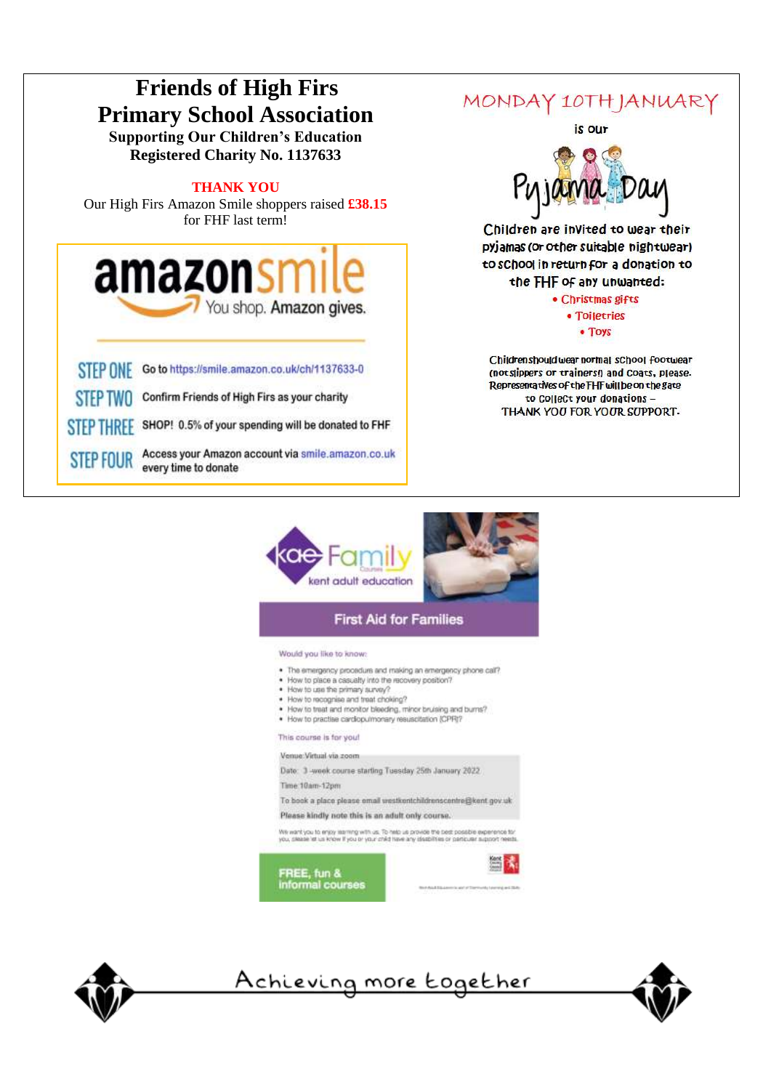



# **First Aid for Families**

### Would you like to know:

- . The emergency procedure and making an emergency phone call?
- How to place a casualty into the recovery position?
- . How to use the primary survey?
- . How to recognise and treat choking?
- . How to treat and monitor bleeding, minor bruising and burns? . How to practise cardiopulmonary resuscitation (CPR)?

# This course is for you!

Venue: Virtual via zoom

Date: 3 -week course starting Tuesday 25th January 2022

Time: 10am-12pm

To book a place please email westkentchildrenscentre@kent.gov.uk Please kindly note this is an adult only course.

.<br>We want you to enjoy assimpt with us. To help us provide the best possible experience to you. Steam to you and